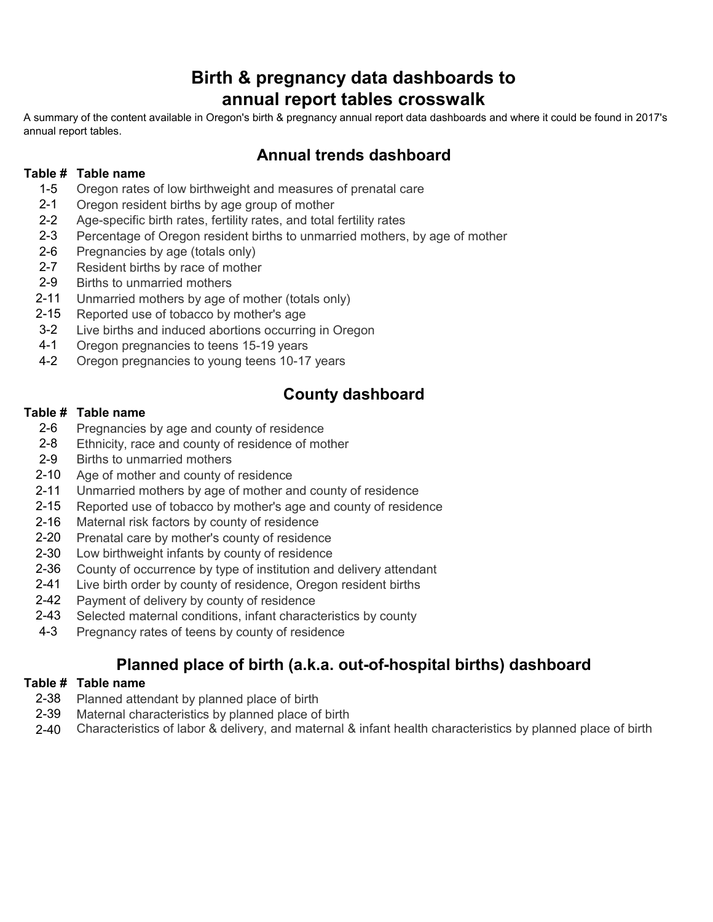# **Birth & pregnancy data dashboards to annual report tables crosswalk**

A summary of the content available in Oregon's birth & pregnancy annual report data dashboards and where it could be found in 2017's annual report tables.

## **Annual trends dashboard**

### **Table # Table name**

- 1-5 Oregon rates of low birthweight and measures of prenatal care
- 2-1 Oregon resident births by age group of mother
- 2-2 Age-specific birth rates, fertility rates, and total fertility rates
- 2-3 Percentage of Oregon resident births to unmarried mothers, by age of mother
- 2-6 Pregnancies by age (totals only)
- 2-7 Resident births by race of mother
- 2-9 Births to unmarried mothers
- 2-11 Unmarried mothers by age of mother (totals only)
- 2-15 Reported use of tobacco by mother's age
- 3-2 Live births and induced abortions occurring in Oregon
- 4-1 Oregon pregnancies to teens 15-19 years
- 4-2 Oregon pregnancies to young teens 10-17 years

### **County dashboard**

### **Table # Table name**

- 2-6 Pregnancies by age and county of residence
- 2-8 Ethnicity, race and county of residence of mother
- 2-9 Births to unmarried mothers
- 2-10 Age of mother and county of residence
- 2-11 Unmarried mothers by age of mother and county of residence
- 2-15 Reported use of tobacco by mother's age and county of residence
- 2-16 Maternal risk factors by county of residence
- 2-20 Prenatal care by mother's county of residence
- 2-30 Low birthweight infants by county of residence
- 2-36 County of occurrence by type of institution and delivery attendant
- 2-41 Live birth order by county of residence, Oregon resident births
- 2-42 Payment of delivery by county of residence
- 2-43 Selected maternal conditions, infant characteristics by county
- 4-3 Pregnancy rates of teens by county of residence

## **Planned place of birth (a.k.a. out-of-hospital births) dashboard**

#### **Table # Table name**

- 2-38 Planned attendant by planned place of birth
- 2-39 Maternal characteristics by planned place of birth
- 2-40 Characteristics of labor & delivery, and maternal & infant health characteristics by planned place of birth